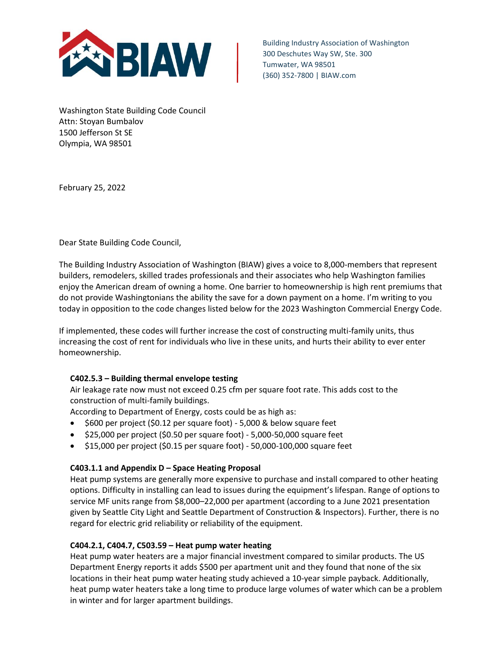

Building Industry Association of Washington 300 Deschutes Way SW, Ste. 300 Tumwater, WA 98501 (360) 352-7800 | BIAW.com

Washington State Building Code Council Attn: Stoyan Bumbalov 1500 Jefferson St SE Olympia, WA 98501

February 25, 2022

Dear State Building Code Council,

The Building Industry Association of Washington (BIAW) gives a voice to 8,000-members that represent builders, remodelers, skilled trades professionals and their associates who help Washington families enjoy the American dream of owning a home. One barrier to homeownership is high rent premiums that do not provide Washingtonians the ability the save for a down payment on a home. I'm writing to you today in opposition to the code changes listed below for the 2023 Washington Commercial Energy Code.

If implemented, these codes will further increase the cost of constructing multi-family units, thus increasing the cost of rent for individuals who live in these units, and hurts their ability to ever enter homeownership.

### **C402.5.3 – Building thermal envelope testing**

Air leakage rate now must not exceed 0.25 cfm per square foot rate. This adds cost to the construction of multi-family buildings.

According to Department of Energy, costs could be as high as:

- \$600 per project (\$0.12 per square foot) 5,000 & below square feet
- \$25,000 per project (\$0.50 per square foot) 5,000-50,000 square feet
- \$15,000 per project (\$0.15 per square foot) 50,000-100,000 square feet

### **C403.1.1 and Appendix D – Space Heating Proposal**

Heat pump systems are generally more expensive to purchase and install compared to other heating options. Difficulty in installing can lead to issues during the equipment's lifespan. Range of options to service MF units range from \$8,000–22,000 per apartment (according to a June 2021 presentation given by Seattle City Light and Seattle Department of Construction & Inspectors). Further, there is no regard for electric grid reliability or reliability of the equipment.

# **C404.2.1, C404.7, C503.59 – Heat pump water heating**

Heat pump water heaters are a major financial investment compared to similar products. The US Department Energy reports it adds \$500 per apartment unit and they found that none of the six locations in their heat pump water heating study achieved a 10-year simple payback. Additionally, heat pump water heaters take a long time to produce large volumes of water which can be a problem in winter and for larger apartment buildings.